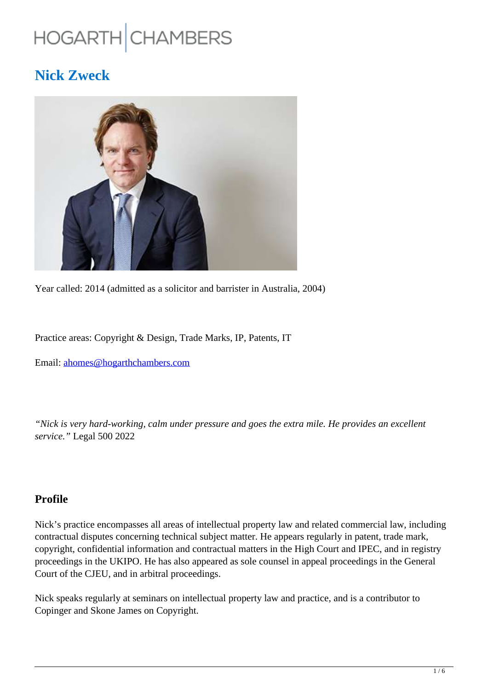# HOGARTH CHAMBERS

# **Nick Zweck**



Year called: 2014 (admitted as a solicitor and barrister in Australia, 2004)

Practice areas: Copyright & Design, Trade Marks, IP, Patents, IT

Email: ahomes@hogarthchambers.com

*"Nick is very hard-working, calm under pressure and goes the extra mile. He provides an excellent service."* Legal 500 2022

# **Profile**

Nick's practice encompasses all areas of intellectual property law and related commercial law, including contractual disputes concerning technical subject matter. He appears regularly in patent, trade mark, copyright, confidential information and contractual matters in the High Court and IPEC, and in registry proceedings in the UKIPO. He has also appeared as sole counsel in appeal proceedings in the General Court of the CJEU, and in arbitral proceedings.

Nick speaks regularly at seminars on intellectual property law and practice, and is a contributor to Copinger and Skone James on Copyright.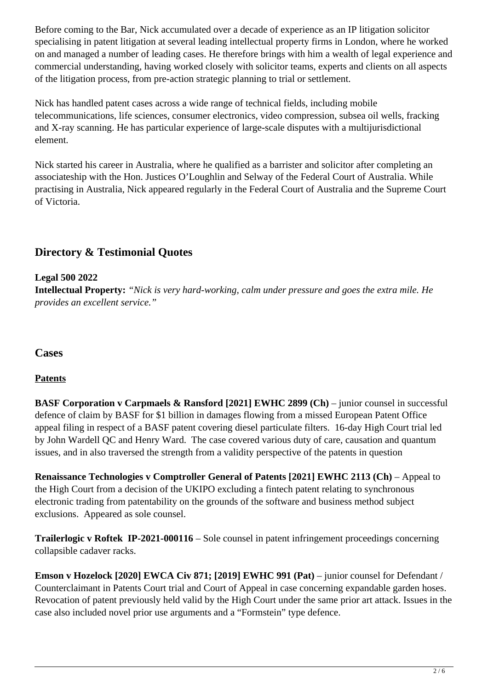Before coming to the Bar, Nick accumulated over a decade of experience as an IP litigation solicitor specialising in patent litigation at several leading intellectual property firms in London, where he worked on and managed a number of leading cases. He therefore brings with him a wealth of legal experience and commercial understanding, having worked closely with solicitor teams, experts and clients on all aspects of the litigation process, from pre-action strategic planning to trial or settlement.

Nick has handled patent cases across a wide range of technical fields, including mobile telecommunications, life sciences, consumer electronics, video compression, subsea oil wells, fracking and X-ray scanning. He has particular experience of large-scale disputes with a multijurisdictional element.

Nick started his career in Australia, where he qualified as a barrister and solicitor after completing an associateship with the Hon. Justices O'Loughlin and Selway of the Federal Court of Australia. While practising in Australia, Nick appeared regularly in the Federal Court of Australia and the Supreme Court of Victoria.

# **Directory & Testimonial Quotes**

# **Legal 500 2022 Intellectual Property:** *"Nick is very hard-working, calm under pressure and goes the extra mile. He provides an excellent service."*

## **Cases**

## **Patents**

**BASF Corporation v Carpmaels & Ransford [2021] EWHC 2899 (Ch)** – junior counsel in successful defence of claim by BASF for \$1 billion in damages flowing from a missed European Patent Office appeal filing in respect of a BASF patent covering diesel particulate filters. 16-day High Court trial led by John Wardell QC and Henry Ward. The case covered various duty of care, causation and quantum issues, and in also traversed the strength from a validity perspective of the patents in question

**Renaissance Technologies v Comptroller General of Patents [2021] EWHC 2113 (Ch) – Appeal to** the High Court from a decision of the UKIPO excluding a fintech patent relating to synchronous electronic trading from patentability on the grounds of the software and business method subject exclusions. Appeared as sole counsel.

**Trailerlogic v Roftek IP-2021-000116** – Sole counsel in patent infringement proceedings concerning collapsible cadaver racks.

**Emson v Hozelock [2020] EWCA Civ 871; [2019] EWHC 991 (Pat) – junior counsel for Defendant /** Counterclaimant in Patents Court trial and Court of Appeal in case concerning expandable garden hoses. Revocation of patent previously held valid by the High Court under the same prior art attack. Issues in the case also included novel prior use arguments and a "Formstein" type defence.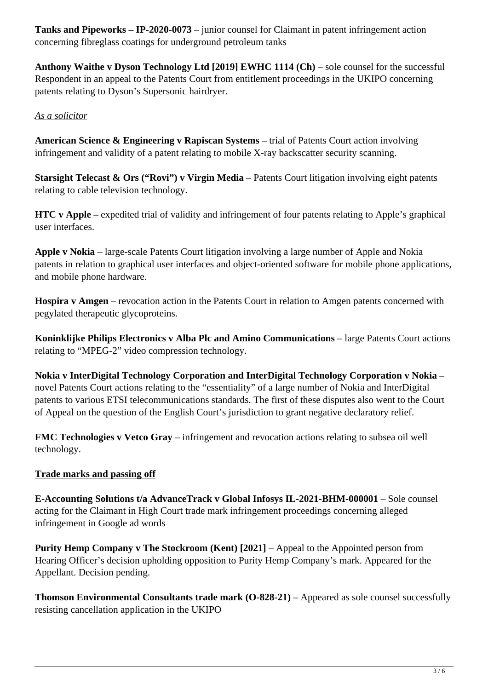**Tanks and Pipeworks – IP-2020-0073** – junior counsel for Claimant in patent infringement action concerning fibreglass coatings for underground petroleum tanks

**Anthony Waithe v Dyson Technology Ltd [2019] EWHC 1114 (Ch)** – sole counsel for the successful Respondent in an appeal to the Patents Court from entitlement proceedings in the UKIPO concerning patents relating to Dyson's Supersonic hairdryer.

#### *As a solicitor*

**American Science & Engineering v Rapiscan Systems** – trial of Patents Court action involving infringement and validity of a patent relating to mobile X-ray backscatter security scanning.

**Starsight Telecast & Ors ("Rovi") v Virgin Media** – Patents Court litigation involving eight patents relating to cable television technology.

**HTC v Apple** – expedited trial of validity and infringement of four patents relating to Apple's graphical user interfaces.

**Apple v Nokia** – large-scale Patents Court litigation involving a large number of Apple and Nokia patents in relation to graphical user interfaces and object-oriented software for mobile phone applications, and mobile phone hardware.

**Hospira v Amgen** – revocation action in the Patents Court in relation to Amgen patents concerned with pegylated therapeutic glycoproteins.

**Koninklijke Philips Electronics v Alba Plc and Amino Communications** – large Patents Court actions relating to "MPEG-2" video compression technology.

**Nokia v InterDigital Technology Corporation and InterDigital Technology Corporation v Nokia** – novel Patents Court actions relating to the "essentiality" of a large number of Nokia and InterDigital patents to various ETSI telecommunications standards. The first of these disputes also went to the Court of Appeal on the question of the English Court's jurisdiction to grant negative declaratory relief.

**FMC Technologies v Vetco Gray** – infringement and revocation actions relating to subsea oil well technology.

#### **Trade marks and passing off**

**E-Accounting Solutions t/a AdvanceTrack v Global Infosys IL-2021-BHM-000001** – Sole counsel acting for the Claimant in High Court trade mark infringement proceedings concerning alleged infringement in Google ad words

**Purity Hemp Company v The Stockroom (Kent) [2021] – Appeal to the Appointed person from** Hearing Officer's decision upholding opposition to Purity Hemp Company's mark. Appeared for the Appellant. Decision pending.

**Thomson Environmental Consultants trade mark (O-828-21)** – Appeared as sole counsel successfully resisting cancellation application in the UKIPO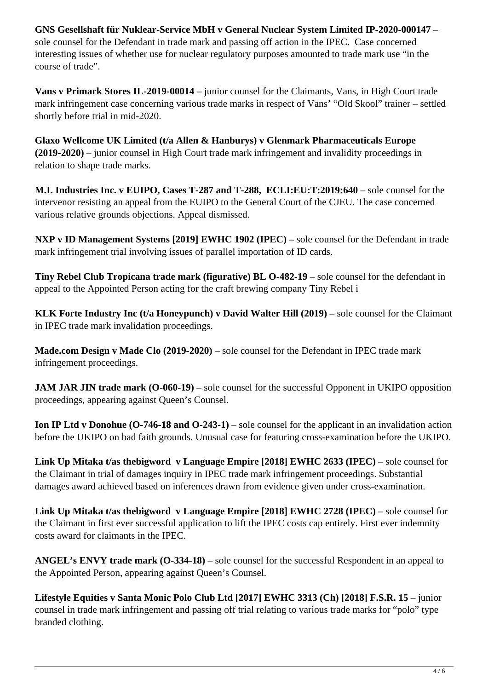**GNS Gesellshaft für Nuklear-Service MbH v General Nuclear System Limited IP-2020-000147** – sole counsel for the Defendant in trade mark and passing off action in the IPEC. Case concerned interesting issues of whether use for nuclear regulatory purposes amounted to trade mark use "in the course of trade".

**Vans v Primark Stores IL-2019-00014** – junior counsel for the Claimants, Vans, in High Court trade mark infringement case concerning various trade marks in respect of Vans' "Old Skool" trainer – settled shortly before trial in mid-2020.

**Glaxo Wellcome UK Limited (t/a Allen & Hanburys) v Glenmark Pharmaceuticals Europe (2019-2020)** – junior counsel in High Court trade mark infringement and invalidity proceedings in relation to shape trade marks.

**M.I. Industries Inc. v EUIPO, Cases T-287 and T-288, ECLI:EU:T:2019:640** – sole counsel for the intervenor resisting an appeal from the EUIPO to the General Court of the CJEU. The case concerned various relative grounds objections. Appeal dismissed.

**NXP v ID Management Systems [2019] EWHC 1902 (IPEC)** – sole counsel for the Defendant in trade mark infringement trial involving issues of parallel importation of ID cards.

**Tiny Rebel Club Tropicana trade mark (figurative) BL O-482-19** – sole counsel for the defendant in appeal to the Appointed Person acting for the craft brewing company Tiny Rebel i

**KLK Forte Industry Inc (t/a Honeypunch) v David Walter Hill (2019)** – sole counsel for the Claimant in IPEC trade mark invalidation proceedings.

**Made.com Design v Made Clo (2019-2020)** – sole counsel for the Defendant in IPEC trade mark infringement proceedings.

**JAM JAR JIN trade mark (O-060-19)** – sole counsel for the successful Opponent in UKIPO opposition proceedings, appearing against Queen's Counsel.

**Ion IP Ltd v Donohue (O-746-18 and O-243-1)** – sole counsel for the applicant in an invalidation action before the UKIPO on bad faith grounds. Unusual case for featuring cross-examination before the UKIPO.

**Link Up Mitaka t/as thebigword v Language Empire [2018] EWHC 2633 (IPEC)** – sole counsel for the Claimant in trial of damages inquiry in IPEC trade mark infringement proceedings. Substantial damages award achieved based on inferences drawn from evidence given under cross-examination.

**Link Up Mitaka t/as thebigword v Language Empire [2018] EWHC 2728 (IPEC)** – sole counsel for the Claimant in first ever successful application to lift the IPEC costs cap entirely. First ever indemnity costs award for claimants in the IPEC.

**ANGEL's ENVY trade mark (O-334-18)** – sole counsel for the successful Respondent in an appeal to the Appointed Person, appearing against Queen's Counsel.

**Lifestyle Equities v Santa Monic Polo Club Ltd [2017] EWHC 3313 (Ch) [2018] F.S.R. 15** – junior counsel in trade mark infringement and passing off trial relating to various trade marks for "polo" type branded clothing.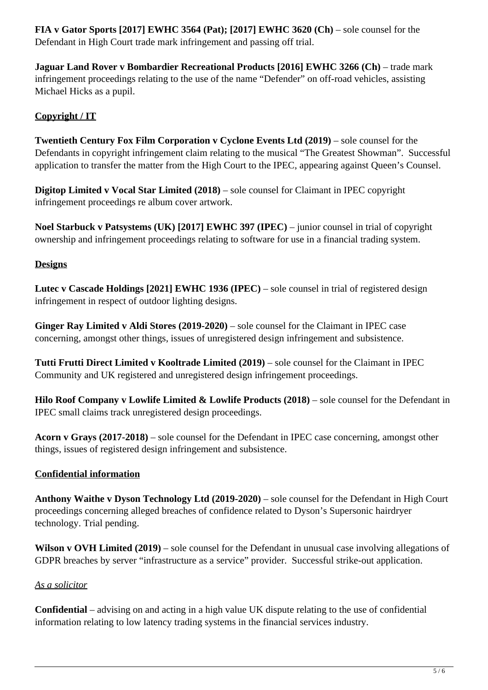**FIA v Gator Sports [2017] EWHC 3564 (Pat); [2017] EWHC 3620 (Ch)** – sole counsel for the Defendant in High Court trade mark infringement and passing off trial.

**Jaguar Land Rover v Bombardier Recreational Products [2016] EWHC 3266 (Ch)** – trade mark infringement proceedings relating to the use of the name "Defender" on off-road vehicles, assisting Michael Hicks as a pupil.

## **Copyright / IT**

**Twentieth Century Fox Film Corporation v Cyclone Events Ltd (2019)** – sole counsel for the Defendants in copyright infringement claim relating to the musical "The Greatest Showman". Successful application to transfer the matter from the High Court to the IPEC, appearing against Queen's Counsel.

**Digitop Limited v Vocal Star Limited (2018)** – sole counsel for Claimant in IPEC copyright infringement proceedings re album cover artwork.

**Noel Starbuck v Patsystems (UK) [2017] EWHC 397 (IPEC)** – junior counsel in trial of copyright ownership and infringement proceedings relating to software for use in a financial trading system.

#### **Designs**

**Lutec v Cascade Holdings [2021] EWHC 1936 (IPEC)** – sole counsel in trial of registered design infringement in respect of outdoor lighting designs.

**Ginger Ray Limited v Aldi Stores (2019-2020)** – sole counsel for the Claimant in IPEC case concerning, amongst other things, issues of unregistered design infringement and subsistence.

**Tutti Frutti Direct Limited v Kooltrade Limited (2019)** – sole counsel for the Claimant in IPEC Community and UK registered and unregistered design infringement proceedings.

**Hilo Roof Company v Lowlife Limited & Lowlife Products (2018)** – sole counsel for the Defendant in IPEC small claims track unregistered design proceedings.

**Acorn v Grays (2017-2018)** – sole counsel for the Defendant in IPEC case concerning, amongst other things, issues of registered design infringement and subsistence.

#### **Confidential information**

**Anthony Waithe v Dyson Technology Ltd (2019-2020)** – sole counsel for the Defendant in High Court proceedings concerning alleged breaches of confidence related to Dyson's Supersonic hairdryer technology. Trial pending.

**Wilson v OVH Limited (2019)** – sole counsel for the Defendant in unusual case involving allegations of GDPR breaches by server "infrastructure as a service" provider. Successful strike-out application.

#### *As a solicitor*

**Confidential** – advising on and acting in a high value UK dispute relating to the use of confidential information relating to low latency trading systems in the financial services industry.